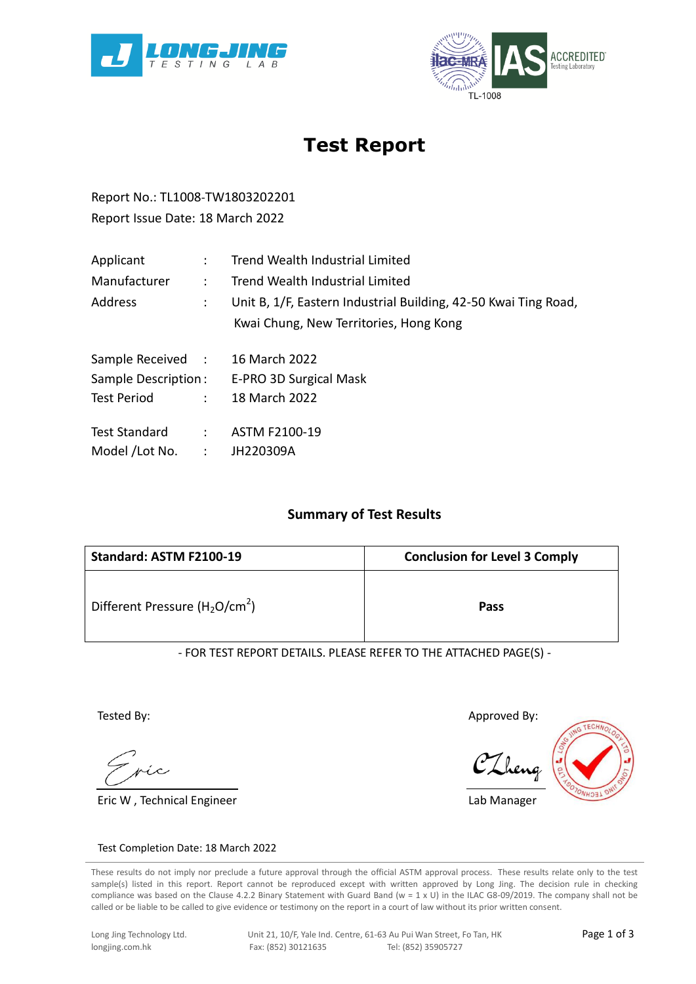



# **Test Report**

Report No.: TL1008-TW1803202201 Report Issue Date: 18 March 2022

| Applicant                | $\mathcal{L}$        | Trend Wealth Industrial Limited                                 |  |  |  |
|--------------------------|----------------------|-----------------------------------------------------------------|--|--|--|
| Manufacturer             | $\ddot{\phantom{0}}$ | Trend Wealth Industrial Limited                                 |  |  |  |
| Address<br>$\mathcal{L}$ |                      | Unit B, 1/F, Eastern Industrial Building, 42-50 Kwai Ting Road, |  |  |  |
|                          |                      | Kwai Chung, New Territories, Hong Kong                          |  |  |  |
| Sample Received :        |                      | 16 March 2022                                                   |  |  |  |
| Sample Description:      |                      | E-PRO 3D Surgical Mask                                          |  |  |  |
| <b>Test Period</b>       |                      | $: 18$ March 2022                                               |  |  |  |
| Test Standard :          |                      | ASTM F2100-19                                                   |  |  |  |
| Model /Lot No. :         |                      | JH220309A                                                       |  |  |  |

### **Summary of Test Results**

| Standard: ASTM F2100-19            | <b>Conclusion for Level 3 Comply</b> |  |  |  |
|------------------------------------|--------------------------------------|--|--|--|
| Different Pressure ( $H_2O/cm^2$ ) | Pass                                 |  |  |  |

- FOR TEST REPORT DETAILS. PLEASE REFER TO THE ATTACHED PAGE(S) -

Tested By:

Eric W , Technical Engineer

Approved By:

Lab Manager



#### Test Completion Date: 18 March 2022

These results do not imply nor preclude a future approval through the official ASTM approval process. These results relate only to the test sample(s) listed in this report. Report cannot be reproduced except with written approved by Long Jing. The decision rule in checking compliance was based on the Clause 4.2.2 Binary Statement with Guard Band ( $w = 1 \times U$ ) in the ILAC G8-09/2019. The company shall not be called or be liable to be called to give evidence or testimony on the report in a court of law without its prior written consent.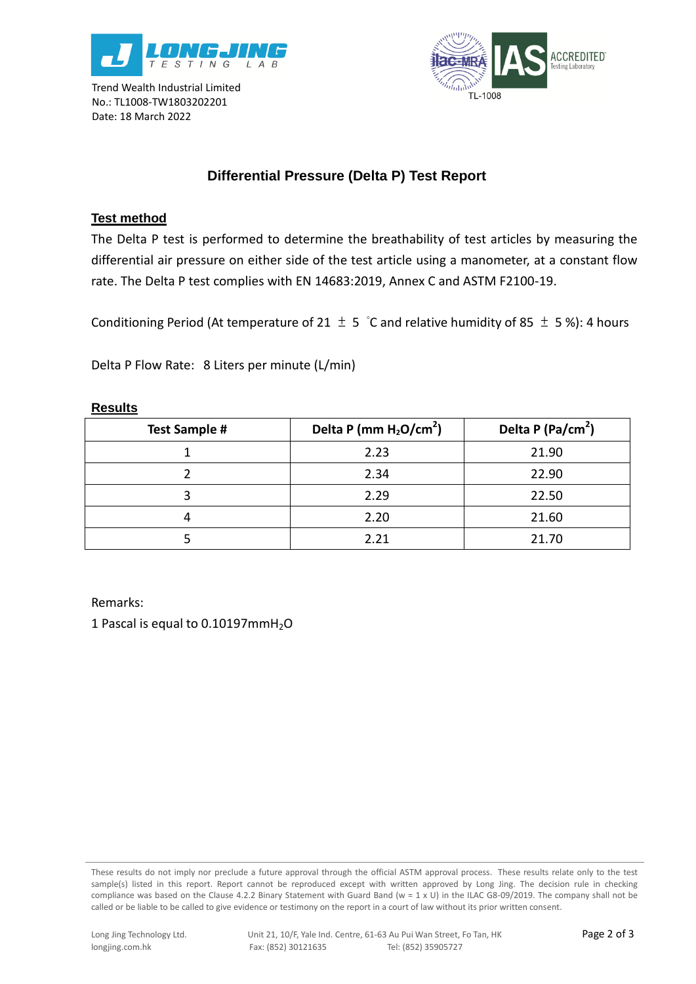

Trend Wealth Industrial Limited No.: TL1008-TW1803202201 Date: 18 March 2022



## **Differential Pressure (Delta P) Test Report**

## **Test method**

The Delta P test is performed to determine the breathability of test articles by measuring the differential air pressure on either side of the test article using a manometer, at a constant flow rate. The Delta P test complies with EN 14683:2019, Annex C and ASTM F2100-19.

Conditioning Period (At temperature of 21  $\pm$  5 °C and relative humidity of 85  $\pm$  5%): 4 hours

Delta P Flow Rate: 8 Liters per minute (L/min)

#### **Results**

| <b>Test Sample #</b> | Delta P (mm $H_2O/cm^2$ ) | Delta P (Pa/cm <sup>2</sup> ) |
|----------------------|---------------------------|-------------------------------|
|                      | 2.23                      | 21.90                         |
|                      | 2.34                      | 22.90                         |
|                      | 2.29                      | 22.50                         |
|                      | 2.20                      | 21.60                         |
|                      | 2.21                      | 21.70                         |

Remarks:

1 Pascal is equal to  $0.10197$ mmH<sub>2</sub>O

These results do not imply nor preclude a future approval through the official ASTM approval process. These results relate only to the test sample(s) listed in this report. Report cannot be reproduced except with written approved by Long Jing. The decision rule in checking compliance was based on the Clause 4.2.2 Binary Statement with Guard Band ( $w = 1 \times U$ ) in the ILAC G8-09/2019. The company shall not be called or be liable to be called to give evidence or testimony on the report in a court of law without its prior written consent.